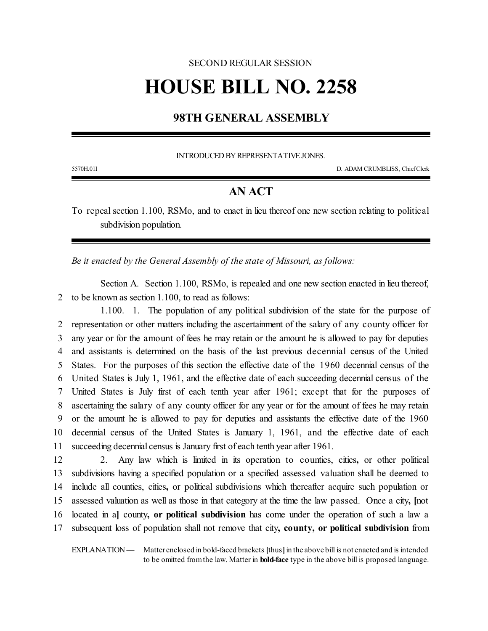## SECOND REGULAR SESSION **HOUSE BILL NO. 2258**

## **98TH GENERAL ASSEMBLY**

INTRODUCED BY REPRESENTATIVE JONES.

5570H.01I D. ADAM CRUMBLISS, ChiefClerk

## **AN ACT**

To repeal section 1.100, RSMo, and to enact in lieu thereof one new section relating to political subdivision population.

*Be it enacted by the General Assembly of the state of Missouri, as follows:*

Section A. Section 1.100, RSMo, is repealed and one new section enacted in lieu thereof, 2 to be known as section 1.100, to read as follows:

1.100. 1. The population of any political subdivision of the state for the purpose of representation or other matters including the ascertainment of the salary of any county officer for any year or for the amount of fees he may retain or the amount he is allowed to pay for deputies and assistants is determined on the basis of the last previous decennial census of the United States. For the purposes of this section the effective date of the 1960 decennial census of the United States is July 1, 1961, and the effective date of each succeeding decennial census of the United States is July first of each tenth year after 1961; except that for the purposes of ascertaining the salary of any county officer for any year or for the amount of fees he may retain or the amount he is allowed to pay for deputies and assistants the effective date of the 1960 decennial census of the United States is January 1, 1961, and the effective date of each succeeding decennial census is January first of each tenth year after 1961.

 2. Any law which is limited in its operation to counties, cities**,** or other political subdivisions having a specified population or a specified assessed valuation shall be deemed to include all counties, cities**,** or political subdivisions which thereafter acquire such population or assessed valuation as well as those in that category at the time the law passed. Once a city**, [**not located in a**]** county**, or political subdivision** has come under the operation of such a law a subsequent loss of population shall not remove that city**, county, or political subdivision** from

EXPLANATION — Matter enclosed in bold-faced brackets **[**thus**]**in the above bill is not enacted and is intended to be omitted fromthe law. Matter in **bold-face** type in the above bill is proposed language.